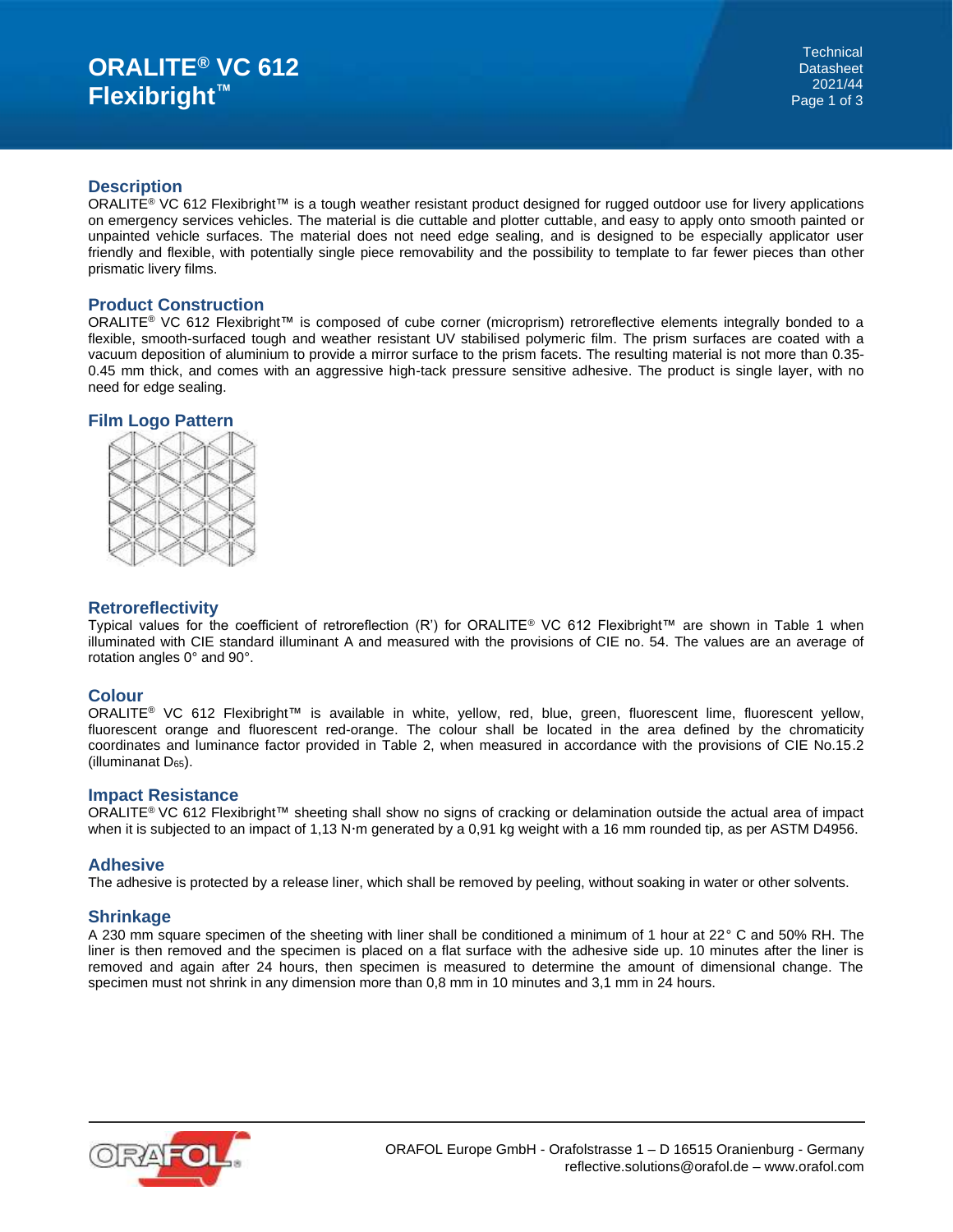#### **Description**

ORALITE<sup>®</sup> VC 612 Flexibright<sup>™</sup> is a tough weather resistant product designed for rugged outdoor use for livery applications on emergency services vehicles. The material is die cuttable and plotter cuttable, and easy to apply onto smooth painted or unpainted vehicle surfaces. The material does not need edge sealing, and is designed to be especially applicator user friendly and flexible, with potentially single piece removability and the possibility to template to far fewer pieces than other prismatic livery films.

## **Product Construction**

ORALITE® VC 612 Flexibright™ is composed of cube corner (microprism) retroreflective elements integrally bonded to a flexible, smooth-surfaced tough and weather resistant UV stabilised polymeric film. The prism surfaces are coated with a vacuum deposition of aluminium to provide a mirror surface to the prism facets. The resulting material is not more than 0.35- 0.45 mm thick, and comes with an aggressive high-tack pressure sensitive adhesive. The product is single layer, with no need for edge sealing.

## **Film Logo Pattern**



## **Retroreflectivity**

Typical values for the coefficient of retroreflection (R') for ORALITE® VC 612 Flexibright™ are shown in Table 1 when illuminated with CIE standard illuminant A and measured with the provisions of CIE no. 54. The values are an average of rotation angles 0° and 90°.

## **Colour**

ORALITE® VC 612 Flexibright™ is available in white, yellow, red, blue, green, fluorescent lime, fluorescent yellow, fluorescent orange and fluorescent red-orange. The colour shall be located in the area defined by the chromaticity coordinates and luminance factor provided in Table 2, when measured in accordance with the provisions of CIE No.15.2 (illuminanat  $D_{65}$ ).

#### **Impact Resistance**

ORALITE® VC 612 Flexibright™ sheeting shall show no signs of cracking or delamination outside the actual area of impact when it is subjected to an impact of 1,13 N·m generated by a 0,91 kg weight with a 16 mm rounded tip, as per ASTM D4956.

## **Adhesive**

The adhesive is protected by a release liner, which shall be removed by peeling, without soaking in water or other solvents.

## **Shrinkage**

A 230 mm square specimen of the sheeting with liner shall be conditioned a minimum of 1 hour at 22° C and 50% RH. The liner is then removed and the specimen is placed on a flat surface with the adhesive side up. 10 minutes after the liner is removed and again after 24 hours, then specimen is measured to determine the amount of dimensional change. The specimen must not shrink in any dimension more than 0,8 mm in 10 minutes and 3,1 mm in 24 hours.

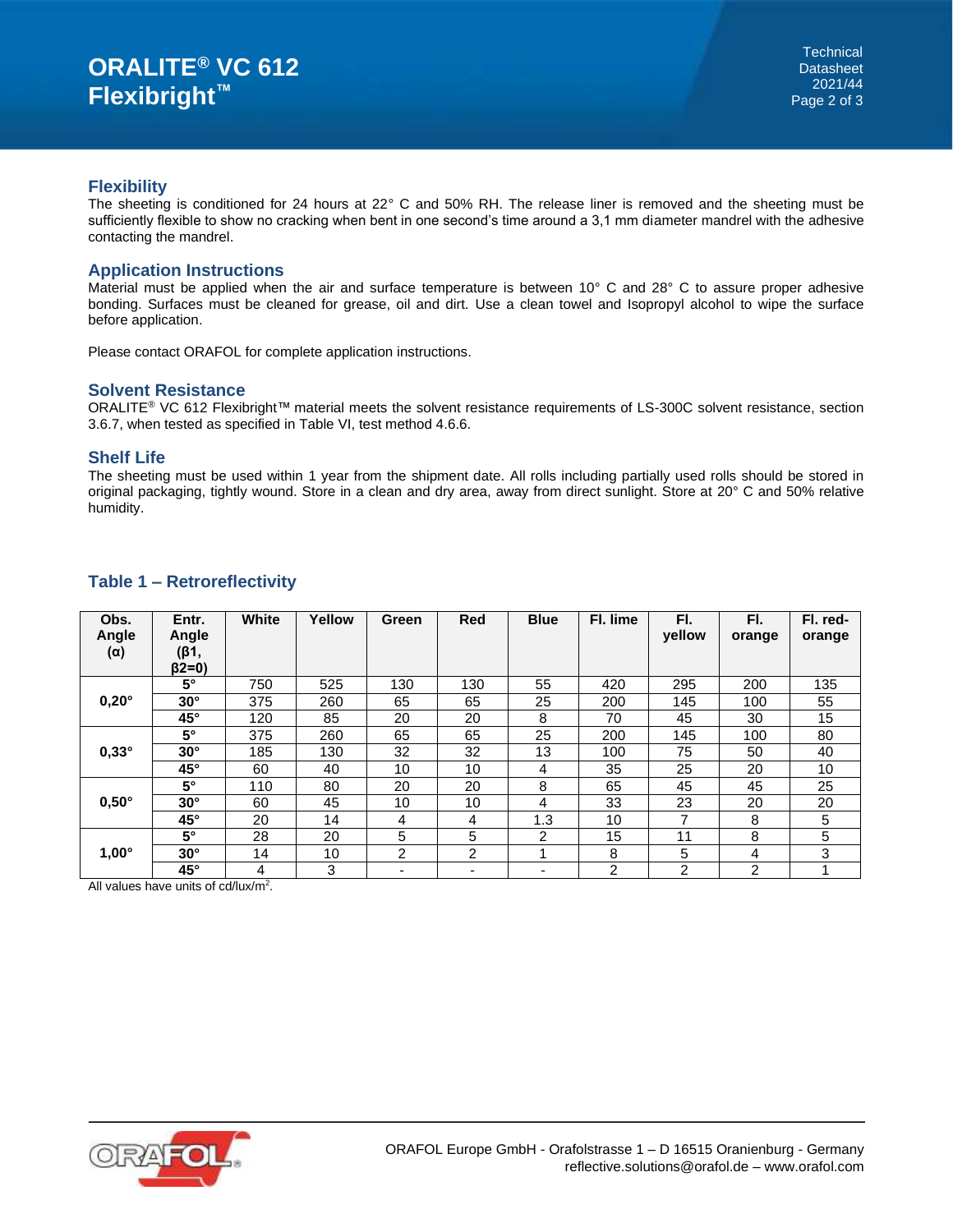#### **Flexibility**

The sheeting is conditioned for 24 hours at 22° C and 50% RH. The release liner is removed and the sheeting must be sufficiently flexible to show no cracking when bent in one second's time around a 3,1 mm diameter mandrel with the adhesive contacting the mandrel.

## **Application Instructions**

Material must be applied when the air and surface temperature is between 10° C and 28° C to assure proper adhesive bonding. Surfaces must be cleaned for grease, oil and dirt. Use a clean towel and Isopropyl alcohol to wipe the surface before application.

Please contact ORAFOL for complete application instructions.

#### **Solvent Resistance**

ORALITE® VC 612 Flexibright™ material meets the solvent resistance requirements of LS-300C solvent resistance, section 3.6.7, when tested as specified in Table VI, test method 4.6.6.

#### **Shelf Life**

The sheeting must be used within 1 year from the shipment date. All rolls including partially used rolls should be stored in original packaging, tightly wound. Store in a clean and dry area, away from direct sunlight. Store at 20° C and 50% relative humidity.

| Obs.<br>Angle<br>$(\alpha)$ | Entr.<br>Angle<br>(β1,<br>$(32=0)$ | White | Yellow | Green          | <b>Red</b>               | <b>Blue</b>    | Fl. lime | FI.<br>vellow | FI.<br>orange  | Fl. red-<br>orange |
|-----------------------------|------------------------------------|-------|--------|----------------|--------------------------|----------------|----------|---------------|----------------|--------------------|
| $0,20^\circ$                | $5^\circ$                          | 750   | 525    | 130            | 130                      | 55             | 420      | 295           | 200            | 135                |
|                             | $30^\circ$                         | 375   | 260    | 65             | 65                       | 25             | 200      | 145           | 100            | 55                 |
|                             | 45°                                | 120   | 85     | 20             | 20                       | 8              | 70       | 45            | 30             | 15                 |
| $0,33^\circ$                | $5^\circ$                          | 375   | 260    | 65             | 65                       | 25             | 200      | 145           | 100            | 80                 |
|                             | $30^\circ$                         | 185   | 130    | 32             | 32                       | 13             | 100      | 75            | 50             | 40                 |
|                             | 45°                                | 60    | 40     | 10             | 10                       | 4              | 35       | 25            | 20             | 10                 |
|                             | $5^\circ$                          | 110   | 80     | 20             | 20                       | 8              | 65       | 45            | 45             | 25                 |
| $0,50^\circ$                | $30^\circ$                         | 60    | 45     | 10             | 10                       | 4              | 33       | 23            | 20             | 20                 |
|                             | 45°                                | 20    | 14     | 4              | 4                        | 1.3            | 10       | 7             | 8              | 5                  |
| $1,00^\circ$                | $5^\circ$                          | 28    | 20     | 5              | 5                        | $\overline{2}$ | 15       | 11            | 8              | 5                  |
|                             | $30^\circ$                         | 14    | 10     | $\overline{2}$ | $\overline{2}$           |                | 8        | 5             | 4              | 3                  |
|                             | $45^{\circ}$                       | 4     | 3      |                | $\overline{\phantom{0}}$ | ۰              | 2        | 2             | $\overline{2}$ |                    |

# **Table 1 – Retroreflectivity**

All values have units of cd/lux/m<sup>2</sup>.